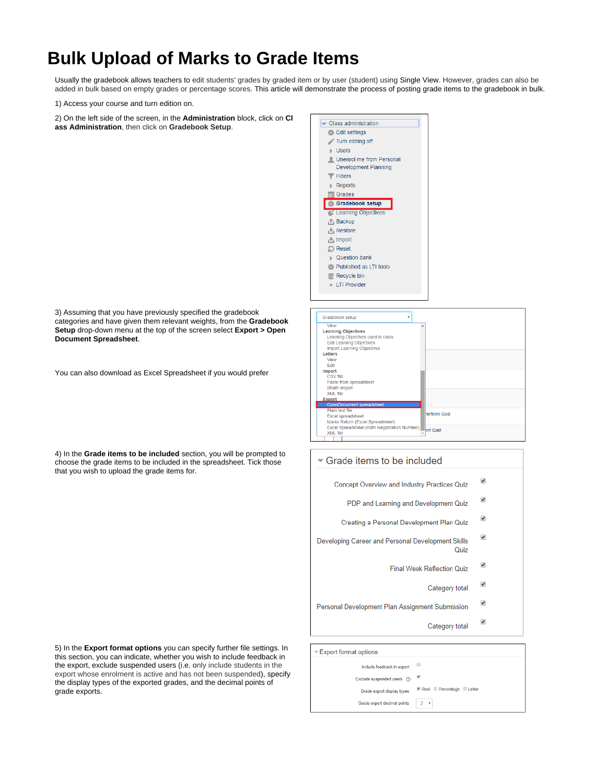## **Bulk Upload of Marks to Grade Items**

Usually the gradebook allows teachers to edit students' grades by graded item or by user (student) using Single View. However, grades can also be added in bulk based on empty grades or percentage scores. This article will demonstrate the process of posting grade items to the gradebook in bulk.

1) Access your course and turn edition on.

2) On the left side of the screen, in the **Administration** block, click on **Cl ass Administration**, then click on **Gradebook Setup**.



3) Assuming that you have previously specified the gradebook categories and have given them relevant weights, from the **Gradebook Setup** drop-down menu at the top of the screen select **Export > Open Document Spreadsheet**.

You can also download as Excel Spreadsheet if you would prefer

4) In the **Grade items to be included** section, you will be prompted to choose the grade items to be included in the spreadsheet. Tick those that you wish to upload the grade items for.

5) In the **Export format options** you can specify further file settings. In this section, you can indicate, whether you wish to include feedback in the export, exclude suspended users (i.e. only include students in the export whose enrolment is active and has not been suspended), specify the display types of the exported grades, and the decimal points of grade exports.

ത



## Grade items to be included

 $\overline{\mathcal{L}}$ Concept Overview and Industry Practices Quiz

- $\overline{\mathcal{L}}$ PDP and Learning and Development Quiz
- ✔ Creating a Personal Development Plan Quiz
- ✔ Developing Career and Personal Development Skills Quiz
	- $\overline{\mathcal{L}}$ Final Week Reflection Quiz
		- $\overline{\mathbf{r}}$ Category total
- ✔ Personal Development Plan Assignment Submission
	- ✔ Category total

| u                      |
|------------------------|
|                        |
| Real Percentage Letter |
| $2 \sqrt{ }$           |
|                        |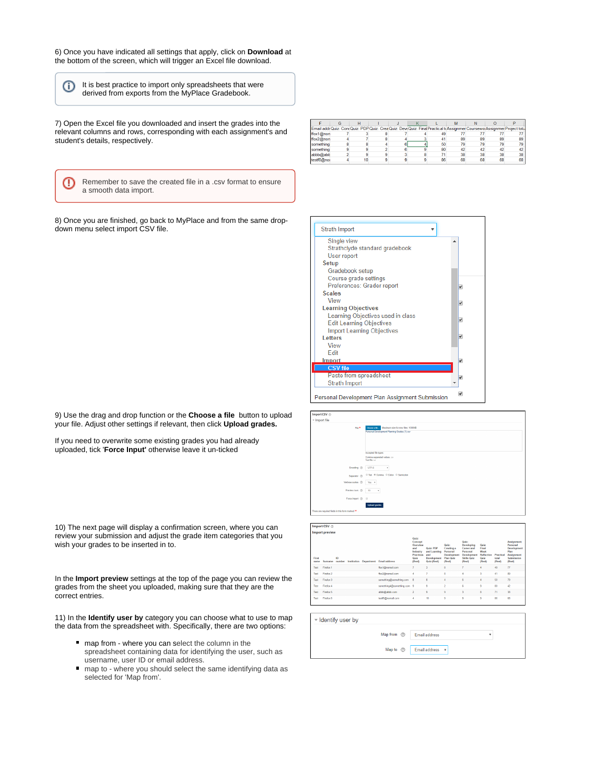6) Once you have indicated all settings that apply, click on **Download** at the bottom of the screen, which will trigger an Excel file download.

It is best practice to import only spreadsheets that were derived from exports from the MyPlace Gradebook.

7) Open the Excel file you downloaded and insert the grades into the relevant columns and rows, corresponding with each assignment's and student's details, respectively.

⊕

➀

Remember to save the created file in a .csv format to ensure a smooth data import.

8) Once you are finished, go back to MyPlace and from the same dropdown menu select import CSV file.

| 9) Use the drag and drop function or the <b>Choose a file</b> button to upload |  |
|--------------------------------------------------------------------------------|--|
| your file. Adjust other settings if relevant, then click <b>Upload grades.</b> |  |

If you need to overwrite some existing grades you had already uploaded, tick '**Force Input'** otherwise leave it un-ticked

10) The next page will display a confirmation screen, where you can review your submission and adjust the grade item categories that you wish your grades to be inserted in to.

In the **Import preview** settings at the top of the page you can review the grades from the sheet you uploaded, making sure that they are the correct entries.

11) In the **Identify user by** category you can choose what to use to map the data from the spreadsheet with. Specifically, there are two options:

- map from where you can select the column in the spreadsheet containing data for identifying the user, such as username, user ID or email address.
- map to where you should select the same identifying data as selected for 'Map from'.

|            |  |  |    |    |    |    | Email addr Quiz: Con(Quiz: PDP Quiz: Crea Quiz: DeveQuiz: Final Practical toAssignmer CourseworAssignmer Project total |
|------------|--|--|----|----|----|----|------------------------------------------------------------------------------------------------------------------------|
| ffox1@non  |  |  | 49 |    |    |    |                                                                                                                        |
| ffox2@non  |  |  | 41 | 89 | 89 | 89 | 89                                                                                                                     |
| something  |  |  | 50 | 79 | 79 | 79 | 79                                                                                                                     |
| something  |  |  | 80 | 42 | 42 | 42 | 42                                                                                                                     |
| abbb@abb   |  |  | 71 | 38 | 38 | 38 | 38                                                                                                                     |
| testf6@nor |  |  | 86 | 68 | 68 | 68 | 68                                                                                                                     |



| Import CSV $\circledcirc$                        |                                                                                                      |
|--------------------------------------------------|------------------------------------------------------------------------------------------------------|
| - Import file                                    |                                                                                                      |
| File*                                            | Maximum size for new files: 1003MB<br>Choose a file.<br>Personal Development Planning Grades (1) csv |
|                                                  |                                                                                                      |
|                                                  | Accepted file types:                                                                                 |
|                                                  | Comma-separated values<br>Text file bo                                                               |
| Encoding (2)                                     | UTF-8<br>٠                                                                                           |
| Separator (7)                                    | © Tab ® Comma © Colon © Semicolon                                                                    |
| Verbose scales (f)                               | Yes, y                                                                                               |
| Preview rows (2)                                 | $^{10}$<br>٠                                                                                         |
| Force import (2)                                 | $\Box$                                                                                               |
|                                                  | Upload grades                                                                                        |
| There are required fields in this form marked ** |                                                                                                      |
|                                                  |                                                                                                      |

|               | Import CSV <sup>®</sup> |              |             |                   |                            |                                                                                              |                                                                |                                                                                            |                                                                                                     |                                                        |                              |                                                                                             |
|---------------|-------------------------|--------------|-------------|-------------------|----------------------------|----------------------------------------------------------------------------------------------|----------------------------------------------------------------|--------------------------------------------------------------------------------------------|-----------------------------------------------------------------------------------------------------|--------------------------------------------------------|------------------------------|---------------------------------------------------------------------------------------------|
|               | <b>Import preview</b>   |              |             |                   |                            |                                                                                              |                                                                |                                                                                            |                                                                                                     |                                                        |                              |                                                                                             |
| First<br>name | Sumame                  | ID<br>number | Institution | <b>Department</b> | <b>Email address</b>       | <b>Quiz:</b><br>Concept<br>Overview<br>and<br>Industry<br><b>Practices</b><br>Quiz<br>(Real) | Quiz: PDP<br>and Learning<br>and<br>Development<br>Quiz (Real) | Quiz:<br><b>Creating a</b><br>Personal<br><b>Development</b><br><b>Plan Quiz</b><br>(Real) | <b>Quiz:</b><br>Developing<br>Career and<br>Personal<br>Development<br><b>Skills Quiz</b><br>(Real) | Quiz:<br>Final<br>Week<br>Reflection<br>Quiz<br>(Real) | Practical<br>total<br>(Real) | <b>Assignment:</b><br>Personal<br>Development<br>Plan<br>Assignment<br>Submission<br>(Real) |
| Test          | Firefox 1               |              |             |                   | flox1@nomail.com           | z                                                                                            | ä                                                              | 8                                                                                          | ż                                                                                                   | 4                                                      | 49                           | 77                                                                                          |
| Test          | Firefox 2               |              |             |                   | flox2@nomail.com           | ۵                                                                                            |                                                                | 8                                                                                          | A                                                                                                   | 3                                                      | 41                           | 89                                                                                          |
| Test          | Firefox 3               |              |             |                   | something@something.com    | 8                                                                                            | 8                                                              | A                                                                                          | 6                                                                                                   | 4                                                      | 50                           | 79                                                                                          |
| Test          | Firefox 4               |              |             |                   | something4@something.com 9 |                                                                                              | ġ.                                                             | ٠                                                                                          | 6                                                                                                   | 9                                                      | 80                           | D                                                                                           |
| Test          | Firefox 5               |              |             |                   | abbb@abbb.com              | ż                                                                                            | 9                                                              | 9                                                                                          | $\overline{3}$                                                                                      | 8                                                      | 71                           | 38                                                                                          |
| Test          | Firefox 6               |              |             |                   | test6@nomail.com           | 4                                                                                            | 10                                                             | 9                                                                                          | 9                                                                                                   | 9                                                      | 86                           | 68                                                                                          |
|               |                         |              |             |                   |                            |                                                                                              |                                                                |                                                                                            |                                                                                                     |                                                        |                              |                                                                                             |

- Identify user by

|  | Map from $\circled{?}$ Email address             |  |
|--|--------------------------------------------------|--|
|  |                                                  |  |
|  | Map to $\circledcirc$ Email address $\mathbf{v}$ |  |
|  |                                                  |  |